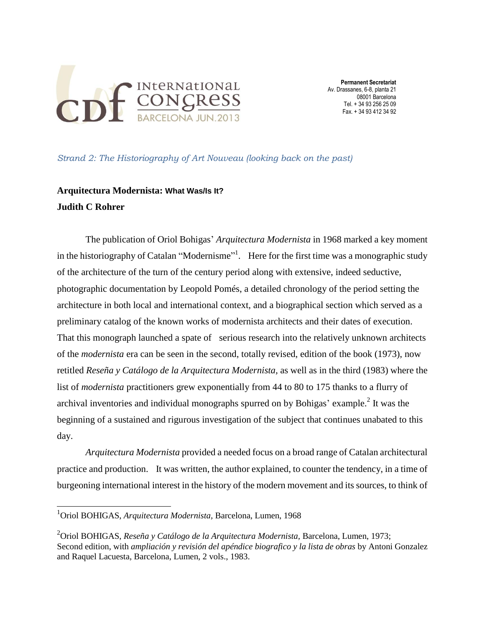

*Strand 2: The Historiography of Art Nouveau (looking back on the past)*

## **Arquitectura Modernista: What Was/Is It? Judith C Rohrer**

The publication of Oriol Bohigas' *Arquitectura Modernista* in 1968 marked a key moment in the historiography of Catalan "Modernisme"<sup>1</sup>. Here for the first time was a monographic study of the architecture of the turn of the century period along with extensive, indeed seductive, photographic documentation by Leopold Pomés, a detailed chronology of the period setting the architecture in both local and international context, and a biographical section which served as a preliminary catalog of the known works of modernista architects and their dates of execution. That this monograph launched a spate of serious research into the relatively unknown architects of the *modernista* era can be seen in the second, totally revised, edition of the book (1973), now retitled *Reseña y Catálogo de la Arquitectura Modernista,* as well as in the third (1983) where the list of *modernista* practitioners grew exponentially from 44 to 80 to 175 thanks to a flurry of archival inventories and individual monographs spurred on by Bohigas' example.<sup>2</sup> It was the beginning of a sustained and rigurous investigation of the subject that continues unabated to this day.

*Arquitectura Modernista* provided a needed focus on a broad range of Catalan architectural practice and production. It was written, the author explained, to counter the tendency, in a time of burgeoning international interest in the history of the modern movement and its sources, to think of

l

<sup>1</sup>Oriol BOHIGAS, *Arquitectura Modernista,* Barcelona, Lumen, 1968

<sup>2</sup>Oriol BOHIGAS, *Reseña y Catálogo de la Arquitectura Modernista,* Barcelona, Lumen, 1973; Second edition, with *ampliación y revisión del apéndice biografico y la lista de obras* by Antoni Gonzalez and Raquel Lacuesta, Barcelona, Lumen, 2 vols., 1983.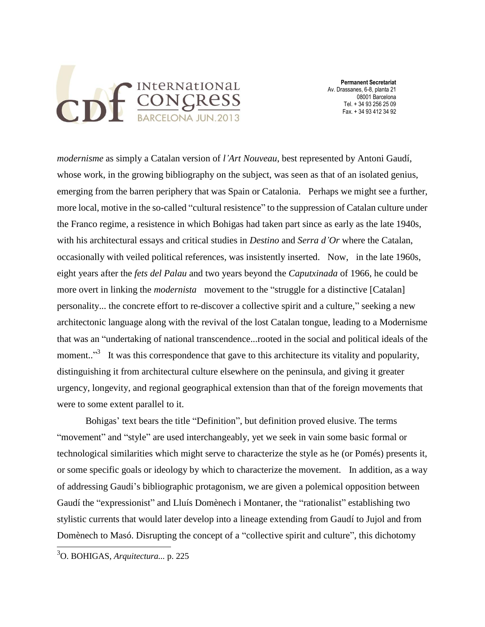

*modernisme* as simply a Catalan version of *l'Art Nouveau*, best represented by Antoni Gaudí, whose work, in the growing bibliography on the subject, was seen as that of an isolated genius, emerging from the barren periphery that was Spain or Catalonia. Perhaps we might see a further, more local, motive in the so-called "cultural resistence" to the suppression of Catalan culture under the Franco regime, a resistence in which Bohigas had taken part since as early as the late 1940s, with his architectural essays and critical studies in *Destino* and *Serra d'Or* where the Catalan, occasionally with veiled political references, was insistently inserted. Now, in the late 1960s, eight years after the *fets del Palau* and two years beyond the *Caputxinada* of 1966, he could be more overt in linking the *modernista* movement to the "struggle for a distinctive [Catalan] personality... the concrete effort to re-discover a collective spirit and a culture," seeking a new architectonic language along with the revival of the lost Catalan tongue, leading to a Modernisme that was an "undertaking of national transcendence...rooted in the social and political ideals of the moment.."<sup>3</sup> It was this correspondence that gave to this architecture its vitality and popularity, distinguishing it from architectural culture elsewhere on the peninsula, and giving it greater urgency, longevity, and regional geographical extension than that of the foreign movements that were to some extent parallel to it.

Bohigas' text bears the title "Definition", but definition proved elusive. The terms "movement" and "style" are used interchangeably, yet we seek in vain some basic formal or technological similarities which might serve to characterize the style as he (or Pomés) presents it, or some specific goals or ideology by which to characterize the movement. In addition, as a way of addressing Gaudí's bibliographic protagonism, we are given a polemical opposition between Gaudí the "expressionist" and Lluís Domènech i Montaner, the "rationalist" establishing two stylistic currents that would later develop into a lineage extending from Gaudí to Jujol and from Domènech to Masó. Disrupting the concept of a "collective spirit and culture", this dichotomy

<sup>3</sup>O. BOHIGAS, *Arquitectura...* p. 225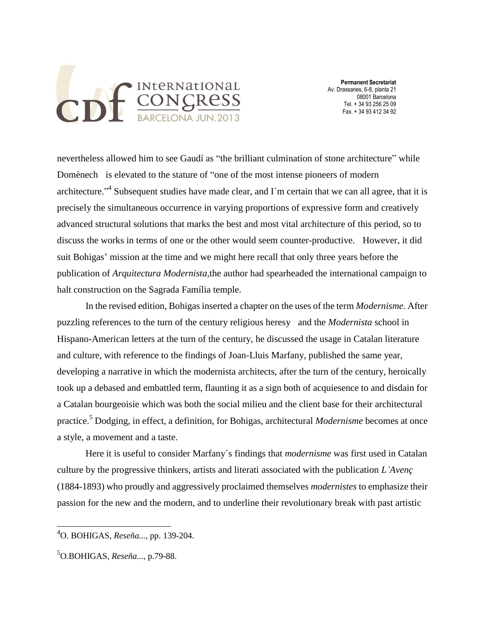

nevertheless allowed him to see Gaudí as "the brilliant culmination of stone architecture" while Domènech is elevated to the stature of "one of the most intense pioneers of modern architecture."<sup>4</sup> Subsequent studies have made clear, and I'm certain that we can all agree, that it is precisely the simultaneous occurrence in varying proportions of expressive form and creatively advanced structural solutions that marks the best and most vital architecture of this period, so to discuss the works in terms of one or the other would seem counter-productive. However, it did suit Bohigas' mission at the time and we might here recall that only three years before the publication of *Arquitectura Modernista,*the author had spearheaded the international campaign to halt construction on the Sagrada Família temple.

In the revised edition, Bohigas inserted a chapter on the uses of the term *Modernisme.* After puzzling references to the turn of the century religious heresy and the *Modernista* school in Hispano-American letters at the turn of the century, he discussed the usage in Catalan literature and culture, with reference to the findings of Joan-Lluis Marfany, published the same year, developing a narrative in which the modernista architects, after the turn of the century, heroically took up a debased and embattled term, flaunting it as a sign both of acquiesence to and disdain for a Catalan bourgeoisie which was both the social milieu and the client base for their architectural practice.<sup>5</sup> Dodging, in effect, a definition, for Bohigas, architectural *Modernisme* becomes at once a style, a movement and a taste.

Here it is useful to consider Marfany´s findings that *modernisme* was first used in Catalan culture by the progressive thinkers, artists and literati associated with the publication *L'Avenç* (1884-1893) who proudly and aggressively proclaimed themselves *modernistes* to emphasize their passion for the new and the modern, and to underline their revolutionary break with past artistic

<sup>4</sup>O. BOHIGAS, *Reseña...,* pp. 139-204.

<sup>5</sup>O.BOHIGAS, *Reseña...,* p.79-88.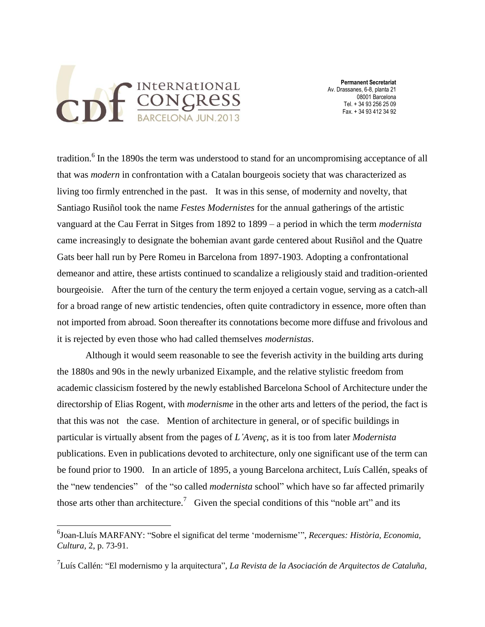

 **Permanent Secretariat** Av. Drassanes, 6-8, planta 21 08001 Barcelona Tel. + 34 93 256 25 09 Fax. + 34 93 412 34 92

tradition.<sup>6</sup> In the 1890s the term was understood to stand for an uncompromising acceptance of all that was *modern* in confrontation with a Catalan bourgeois society that was characterized as living too firmly entrenched in the past. It was in this sense, of modernity and novelty, that Santiago Rusiñol took the name *Festes Modernistes* for the annual gatherings of the artistic vanguard at the Cau Ferrat in Sitges from 1892 to 1899 – a period in which the term *modernista* came increasingly to designate the bohemian avant garde centered about Rusiñol and the Quatre Gats beer hall run by Pere Romeu in Barcelona from 1897-1903. Adopting a confrontational demeanor and attire, these artists continued to scandalize a religiously staid and tradition-oriented bourgeoisie. After the turn of the century the term enjoyed a certain vogue, serving as a catch-all for a broad range of new artistic tendencies, often quite contradictory in essence, more often than not imported from abroad. Soon thereafter its connotations become more diffuse and frivolous and it is rejected by even those who had called themselves *modernistas*.

Although it would seem reasonable to see the feverish activity in the building arts during the 1880s and 90s in the newly urbanized Eixample, and the relative stylistic freedom from academic classicism fostered by the newly established Barcelona School of Architecture under the directorship of Elias Rogent, with *modernisme* in the other arts and letters of the period, the fact is that this was not the case. Mention of architecture in general, or of specific buildings in particular is virtually absent from the pages of *L'Avenç,* as it is too from later *Modernista*  publications. Even in publications devoted to architecture, only one significant use of the term can be found prior to 1900. In an article of 1895, a young Barcelona architect, Luís Callén, speaks of the "new tendencies" of the "so called *modernista* school" which have so far affected primarily those arts other than architecture.<sup>7</sup> Given the special conditions of this "noble art" and its

<sup>6</sup> Joan-Lluís MARFANY: "Sobre el significat del terme 'modernisme'", *Recerques: Història, Economia, Cultura,* 2, p. 73-91.

<sup>&</sup>lt;sup>7</sup>Luís Callén: "El modernismo y la arquitectura", *La Revista de la Asociación de Arquitectos de Cataluña*,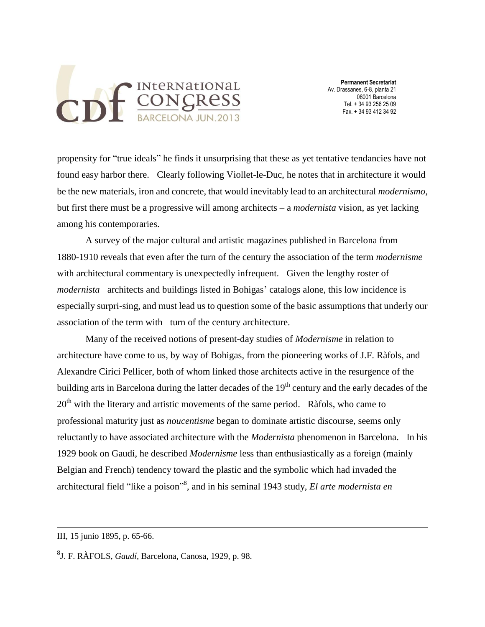

propensity for "true ideals" he finds it unsurprising that these as yet tentative tendancies have not found easy harbor there. Clearly following Viollet-le-Duc, he notes that in architecture it would be the new materials, iron and concrete, that would inevitably lead to an architectural *modernismo*, but first there must be a progressive will among architects – a *modernista* vision, as yet lacking among his contemporaries.

A survey of the major cultural and artistic magazines published in Barcelona from 1880-1910 reveals that even after the turn of the century the association of the term *modernisme*  with architectural commentary is unexpectedly infrequent. Given the lengthy roster of *modernista* architects and buildings listed in Bohigas' catalogs alone, this low incidence is especially surpri-sing, and must lead us to question some of the basic assumptions that underly our association of the term with turn of the century architecture.

Many of the received notions of present-day studies of *Modernisme* in relation to architecture have come to us, by way of Bohigas, from the pioneering works of J.F. Ràfols, and Alexandre Cirici Pellicer, both of whom linked those architects active in the resurgence of the building arts in Barcelona during the latter decades of the 19<sup>th</sup> century and the early decades of the  $20<sup>th</sup>$  with the literary and artistic movements of the same period. Ràfols, who came to professional maturity just as *noucentisme* began to dominate artistic discourse, seems only reluctantly to have associated architecture with the *Modernista* phenomenon in Barcelona. In his 1929 book on Gaudí, he described *Modernisme* less than enthusiastically as a foreign (mainly Belgian and French) tendency toward the plastic and the symbolic which had invaded the architectural field "like a poison" 8 , and in his seminal 1943 study, *El arte modernista en* 

III, 15 junio 1895, p. 65-66.

<sup>8</sup> J. F. RÀFOLS, *Gaudí,* Barcelona, Canosa, 1929, p. 98.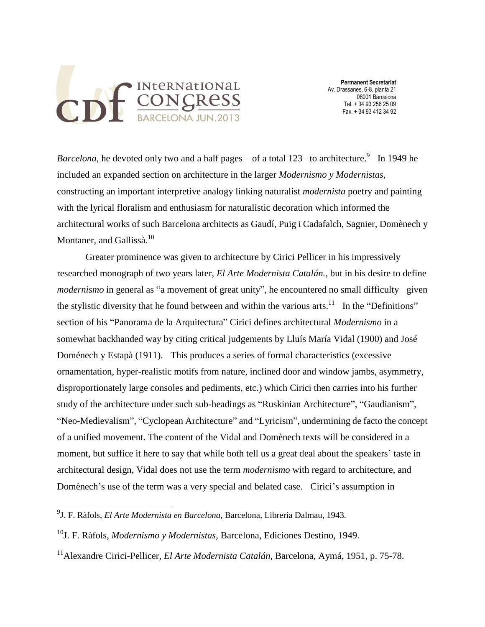

*Barcelona*, he devoted only two and a half pages – of a total 123– to architecture.<sup>9</sup> In 1949 he included an expanded section on architecture in the larger *Modernismo y Modernistas,*  constructing an important interpretive analogy linking naturalist *modernista* poetry and painting with the lyrical floralism and enthusiasm for naturalistic decoration which informed the architectural works of such Barcelona architects as Gaudí, Puig i Cadafalch, Sagnier, Domènech y Montaner, and Gallissà.<sup>10</sup>

Greater prominence was given to architecture by Cirici Pellicer in his impressively researched monograph of two years later, *El Arte Modernista Catalán.,* but in his desire to define *modernismo* in general as "a movement of great unity", he encountered no small difficulty given the stylistic diversity that he found between and within the various arts.<sup>11</sup> In the "Definitions" section of his "Panorama de la Arquitectura" Cirici defines architectural *Modernismo* in a somewhat backhanded way by citing critical judgements by Lluís María Vidal (1900) and José Doménech y Estapà (1911). This produces a series of formal characteristics (excessive ornamentation, hyper-realistic motifs from nature, inclined door and window jambs, asymmetry, disproportionately large consoles and pediments, etc.) which Cirici then carries into his further study of the architecture under such sub-headings as "Ruskinian Architecture", "Gaudianism", "Neo-Medievalism", "Cyclopean Architecture" and "Lyricism", undermining de facto the concept of a unified movement. The content of the Vidal and Domènech texts will be considered in a moment, but suffice it here to say that while both tell us a great deal about the speakers' taste in architectural design, Vidal does not use the term *modernismo* with regard to architecture, and Domènech's use of the term was a very special and belated case. Cirici's assumption in

<sup>9</sup> J. F. Ràfols, *El Arte Modernista en Barcelona,* Barcelona, Librería Dalmau, 1943.

<sup>10</sup>J. F. Ràfols, *Modernismo y Modernistas,* Barcelona, Ediciones Destino, 1949.

<sup>11</sup>Alexandre Cirici-Pellicer, *El Arte Modernista Catalán,* Barcelona, Aymá, 1951, p. 75-78.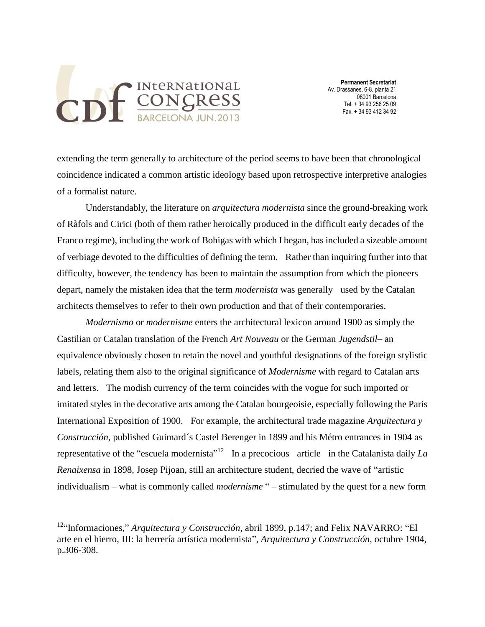

 **Permanent Secretariat** Av. Drassanes, 6-8, planta 21 08001 Barcelona Tel. + 34 93 256 25 09 Fax. + 34 93 412 34 92

extending the term generally to architecture of the period seems to have been that chronological coincidence indicated a common artistic ideology based upon retrospective interpretive analogies of a formalist nature.

Understandably, the literature on *arquitectura modernista* since the ground-breaking work of Ràfols and Cirici (both of them rather heroically produced in the difficult early decades of the Franco regime), including the work of Bohigas with which I began, has included a sizeable amount of verbiage devoted to the difficulties of defining the term. Rather than inquiring further into that difficulty, however, the tendency has been to maintain the assumption from which the pioneers depart, namely the mistaken idea that the term *modernista* was generally used by the Catalan architects themselves to refer to their own production and that of their contemporaries.

*Modernismo* or *modernisme* enters the architectural lexicon around 1900 as simply the Castilian or Catalan translation of the French *Art Nouveau* or the German *Jugendstil*– an equivalence obviously chosen to retain the novel and youthful designations of the foreign stylistic labels, relating them also to the original significance of *Modernisme* with regard to Catalan arts and letters. The modish currency of the term coincides with the vogue for such imported or imitated styles in the decorative arts among the Catalan bourgeoisie, especially following the Paris International Exposition of 1900. For example, the architectural trade magazine *Arquitectura y Construcción,* published Guimard´s Castel Berenger in 1899 and his Métro entrances in 1904 as representative of the "escuela modernista"<sup>12</sup> In a precocious article in the Catalanista daily La *Renaixensa* in 1898, Josep Pijoan, still an architecture student, decried the wave of "artistic individualism – what is commonly called *modernisme* " – stimulated by the quest for a new form

<sup>12</sup>"Informaciones," *Arquitectura y Construcción,* abril 1899, p.147; and Felix NAVARRO: "El arte en el hierro, III: la herrería artística modernista", *Arquitectura y Construcción,* octubre 1904, p.306-308.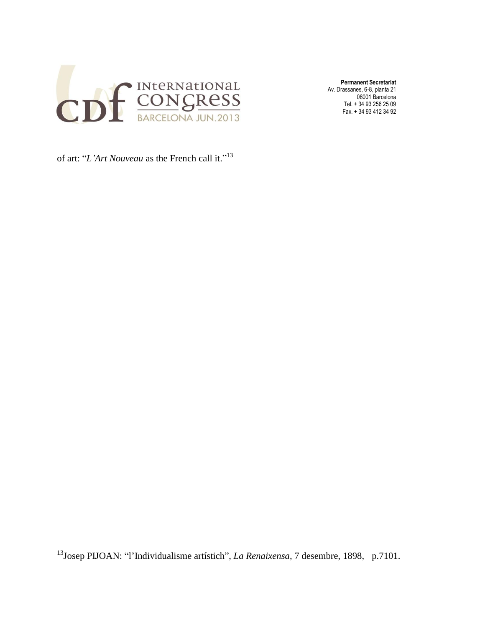

of art: "*L'Art Nouveau* as the French call it." 13

<sup>13</sup>Josep PIJOAN: "l'Individualisme artístich", *La Renaixensa,* 7 desembre, 1898, p.7101.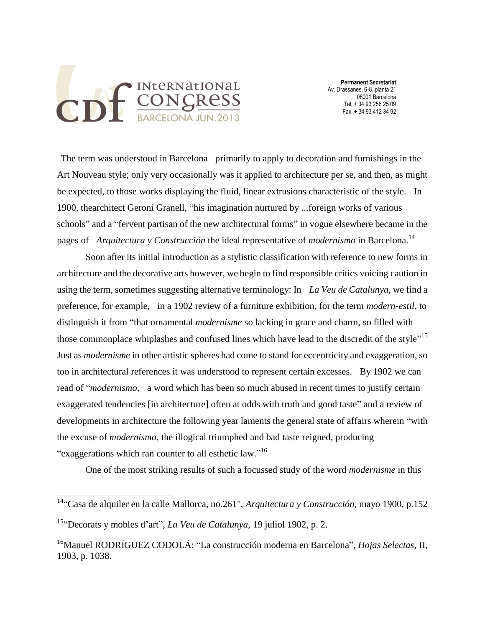

The term was understood in Barcelona primarily to apply to decoration and furnishings in the Art Nouveau style; only very occasionally was it applied to architecture per se, and then, as might be expected, to those works displaying the fluid, linear extrusions characteristic of the style. In 1900, thearchitect Geroni Granell, "his imagination nurtured by ...foreign works of various schools" and a "fervent partisan of the new architectural forms" in vogue elsewhere became in the pages of *Arquitectura y Construcción* the ideal representative of *modernismo* in Barcelona.<sup>14</sup>

Soon after its initial introduction as a stylistic classification with reference to new forms in architecture and the decorative arts however, we begin to find responsible critics voicing caution in using the term, sometimes suggesting alternative terminology: In *La Veu de Catalunya,* we find a preference, for example, in a 1902 review of a furniture exhibition, for the term *modern-estil*, to distinguish it from "that ornamental *modernisme* so lacking in grace and charm, so filled with those commonplace whiplashes and confused lines which have lead to the discredit of the style"<sup>15</sup> Just as *modernisme* in other artistic spheres had come to stand for eccentricity and exaggeration, so too in architectural references it was understood to represent certain excesses. By 1902 we can read of "*modernismo*, a word which has been so much abused in recent times to justify certain exaggerated tendencies [in architecture] often at odds with truth and good taste" and a review of developments in architecture the following year laments the general state of affairs wherein "with the excuse of *modernismo*, the illogical triumphed and bad taste reigned, producing "exaggerations which ran counter to all esthetic law."<sup>16</sup>

One of the most striking results of such a focussed study of the word *modernisme* in this

<sup>&</sup>lt;sup>14</sup>"Casa de alquiler en la calle Mallorca, no.261", *Arquitectura y Construcción*, mayo 1900, p.152

<sup>15</sup>"Decorats y mobles d'art", *La Veu de Catalunya,* 19 juliol 1902, p. 2.

<sup>16</sup>Manuel RODRÍGUEZ CODOLÁ: "La construcción moderna en Barcelona", *Hojas Selectas,* II, 1903, p. 1038.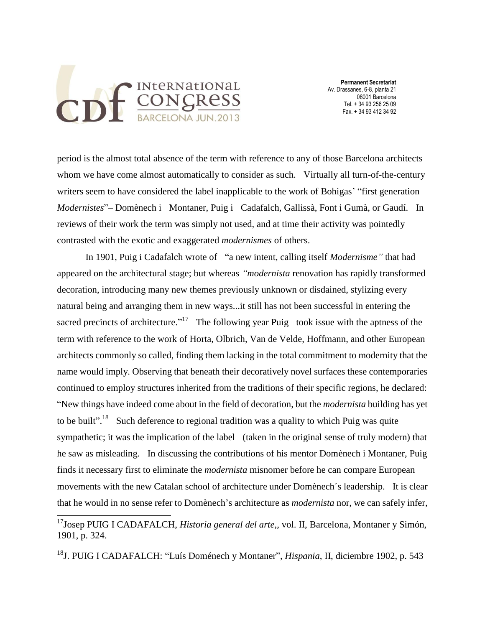

 **Permanent Secretariat** Av. Drassanes, 6-8, planta 21 08001 Barcelona Tel. + 34 93 256 25 09 Fax. + 34 93 412 34 92

period is the almost total absence of the term with reference to any of those Barcelona architects whom we have come almost automatically to consider as such. Virtually all turn-of-the-century writers seem to have considered the label inapplicable to the work of Bohigas' "first generation *Modernistes*"– Domènech i Montaner, Puig i Cadafalch, Gallissà, Font i Gumà, or Gaudí. In reviews of their work the term was simply not used, and at time their activity was pointedly contrasted with the exotic and exaggerated *modernismes* of others.

In 1901, Puig i Cadafalch wrote of "a new intent, calling itself *Modernisme"* that had appeared on the architectural stage; but whereas *"modernista* renovation has rapidly transformed decoration, introducing many new themes previously unknown or disdained, stylizing every natural being and arranging them in new ways...it still has not been successful in entering the sacred precincts of architecture."<sup>17</sup> The following year Puig took issue with the aptness of the term with reference to the work of Horta, Olbrich, Van de Velde, Hoffmann, and other European architects commonly so called, finding them lacking in the total commitment to modernity that the name would imply. Observing that beneath their decoratively novel surfaces these contemporaries continued to employ structures inherited from the traditions of their specific regions, he declared: "New things have indeed come about in the field of decoration, but the *modernista* building has yet to be built"<sup>18</sup> Such deference to regional tradition was a quality to which Puig was quite sympathetic; it was the implication of the label (taken in the original sense of truly modern) that he saw as misleading. In discussing the contributions of his mentor Domènech i Montaner, Puig finds it necessary first to eliminate the *modernista* misnomer before he can compare European movements with the new Catalan school of architecture under Domènech´s leadership. It is clear that he would in no sense refer to Domènech's architecture as *modernista* nor, we can safely infer,

<sup>18</sup>J. PUIG I CADAFALCH: "Luís Doménech y Montaner", *Hispania*, II, diciembre 1902, p. 543

<sup>&</sup>lt;sup>17</sup>Josep PUIG I CADAFALCH, *Historia general del arte*,, vol. II, Barcelona, Montaner y Simón, 1901, p. 324.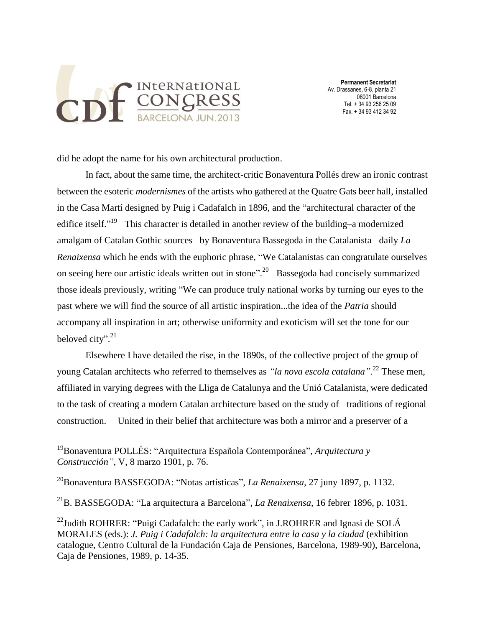

 **Permanent Secretariat** Av. Drassanes, 6-8, planta 21 08001 Barcelona Tel. + 34 93 256 25 09 Fax. + 34 93 412 34 92

did he adopt the name for his own architectural production.

In fact, about the same time, the architect-critic Bonaventura Pollés drew an ironic contrast between the esoteric *modernismes* of the artists who gathered at the Quatre Gats beer hall, installed in the Casa Martí designed by Puig i Cadafalch in 1896, and the "architectural character of the edifice itself."<sup>19</sup> This character is detailed in another review of the building–a modernized amalgam of Catalan Gothic sources– by Bonaventura Bassegoda in the Catalanista daily *La Renaixensa* which he ends with the euphoric phrase, "We Catalanistas can congratulate ourselves on seeing here our artistic ideals written out in stone".<sup>20</sup> Bassegoda had concisely summarized those ideals previously, writing "We can produce truly national works by turning our eyes to the past where we will find the source of all artistic inspiration...the idea of the *Patria* should accompany all inspiration in art; otherwise uniformity and exoticism will set the tone for our beloved city".<sup>21</sup>

Elsewhere I have detailed the rise, in the 1890s, of the collective project of the group of young Catalan architects who referred to themselves as *"la nova escola catalana".* <sup>22</sup> These men, affiliated in varying degrees with the Lliga de Catalunya and the Unió Catalanista, were dedicated to the task of creating a modern Catalan architecture based on the study of traditions of regional construction. United in their belief that architecture was both a mirror and a preserver of a

<sup>19</sup>Bonaventura POLLÉS: "Arquitectura Española Contemporánea", *Arquitectura y Construcción",* V, 8 marzo 1901, p. 76.

<sup>20</sup>Bonaventura BASSEGODA: "Notas artísticas", *La Renaixensa,* 27 juny 1897, p. 1132.

<sup>21</sup>B. BASSEGODA: "La arquitectura a Barcelona", *La Renaixensa,* 16 febrer 1896, p. 1031.

<sup>&</sup>lt;sup>22</sup>Judith ROHRER: "Puigi Cadafalch: the early work", in J.ROHRER and Ignasi de SOLÁ MORALES (eds.): *J. Puig i Cadafalch: la arquitectura entre la casa y la ciudad* (exhibition catalogue, Centro Cultural de la Fundación Caja de Pensiones, Barcelona, 1989-90), Barcelona, Caja de Pensiones, 1989, p. 14-35.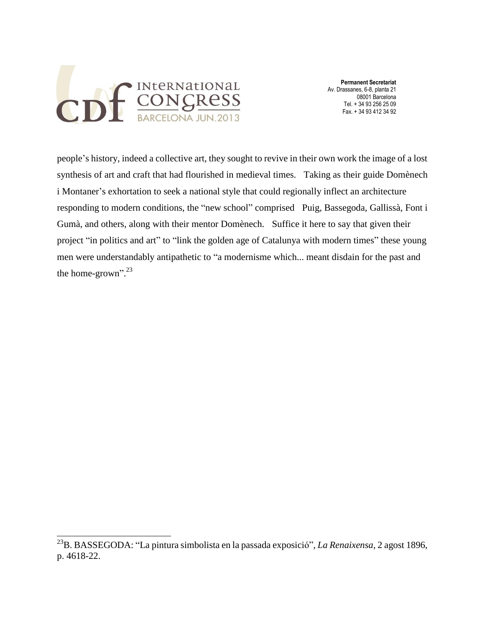

 **Permanent Secretariat** Av. Drassanes, 6-8, planta 21 08001 Barcelona Tel. + 34 93 256 25 09 Fax. + 34 93 412 34 92

people's history, indeed a collective art, they sought to revive in their own work the image of a lost synthesis of art and craft that had flourished in medieval times. Taking as their guide Domènech i Montaner's exhortation to seek a national style that could regionally inflect an architecture responding to modern conditions, the "new school" comprised Puig, Bassegoda, Gallissà, Font i Gumà, and others, along with their mentor Domènech. Suffice it here to say that given their project "in politics and art" to "link the golden age of Catalunya with modern times" these young men were understandably antipathetic to "a modernisme which... meant disdain for the past and the home-grown".<sup>23</sup>

<sup>23</sup>B. BASSEGODA: "La pintura simbolista en la passada exposició"*, La Renaixensa,* 2 agost 1896, p. 4618-22.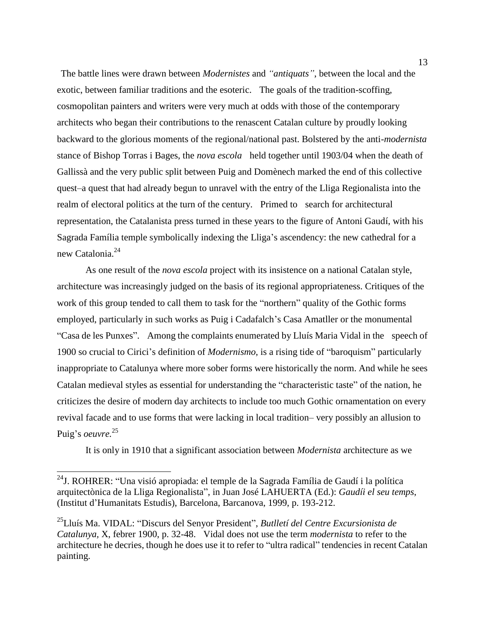The battle lines were drawn between *Modernistes* and *"antiquats"*, between the local and the exotic, between familiar traditions and the esoteric. The goals of the tradition-scoffing, cosmopolitan painters and writers were very much at odds with those of the contemporary architects who began their contributions to the renascent Catalan culture by proudly looking backward to the glorious moments of the regional/national past. Bolstered by the anti-*modernista*  stance of Bishop Torras i Bages, the *nova escola* held together until 1903/04 when the death of Gallissà and the very public split between Puig and Domènech marked the end of this collective quest–a quest that had already begun to unravel with the entry of the Lliga Regionalista into the realm of electoral politics at the turn of the century. Primed to search for architectural representation, the Catalanista press turned in these years to the figure of Antoni Gaudí, with his Sagrada Família temple symbolically indexing the Lliga's ascendency: the new cathedral for a new Catalonia.<sup>24</sup>

As one result of the *nova escola* project with its insistence on a national Catalan style, architecture was increasingly judged on the basis of its regional appropriateness. Critiques of the work of this group tended to call them to task for the "northern" quality of the Gothic forms employed, particularly in such works as Puig i Cadafalch's Casa Amatller or the monumental "Casa de les Punxes". Among the complaints enumerated by Lluís Maria Vidal in the speech of 1900 so crucial to Cirici's definition of *Modernismo*, is a rising tide of "baroquism" particularly inappropriate to Catalunya where more sober forms were historically the norm. And while he sees Catalan medieval styles as essential for understanding the "characteristic taste" of the nation, he criticizes the desire of modern day architects to include too much Gothic ornamentation on every revival facade and to use forms that were lacking in local tradition– very possibly an allusion to Puig's *oeuvre.* 25

It is only in 1910 that a significant association between *Modernista* architecture as we

 $^{24}$ J. ROHRER: "Una visió apropiada: el temple de la Sagrada Família de Gaudí i la política arquitectònica de la Lliga Regionalista", in Juan José LAHUERTA (Ed.): *Gaudíi el seu temps*, (Institut d'Humanitats Estudis), Barcelona, Barcanova, 1999, p. 193-212.

<sup>25</sup>Lluís Ma. VIDAL: "Discurs del Senyor President", *Butlletí del Centre Excursionista de Catalunya,* X, febrer 1900, p. 32-48. Vidal does not use the term *modernista* to refer to the architecture he decries, though he does use it to refer to "ultra radical" tendencies in recent Catalan painting.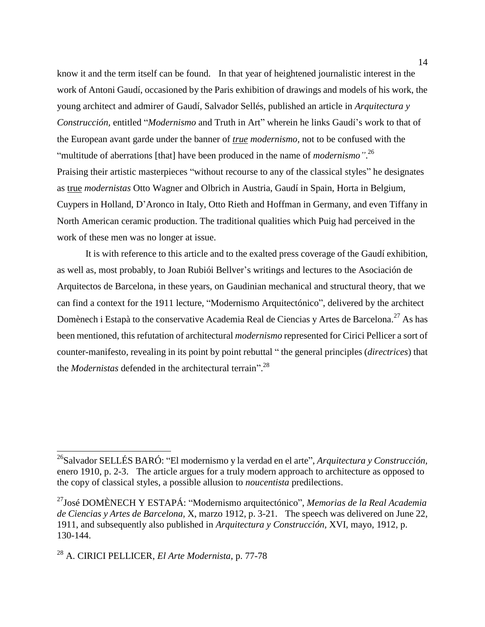know it and the term itself can be found. In that year of heightened journalistic interest in the work of Antoni Gaudí, occasioned by the Paris exhibition of drawings and models of his work, the young architect and admirer of Gaudí, Salvador Sellés, published an article in *Arquitectura y Construcción,* entitled "*Modernismo* and Truth in Art" wherein he links Gaudí's work to that of the European avant garde under the banner of *true modernismo,* not to be confused with the "multitude of aberrations [that] have been produced in the name of *modernismo"*. 26 Praising their artistic masterpieces "without recourse to any of the classical styles" he designates as true *modernistas* Otto Wagner and Olbrich in Austria, Gaudí in Spain, Horta in Belgium, Cuypers in Holland, D'Aronco in Italy, Otto Rieth and Hoffman in Germany, and even Tiffany in North American ceramic production. The traditional qualities which Puig had perceived in the work of these men was no longer at issue.

It is with reference to this article and to the exalted press coverage of the Gaudí exhibition, as well as, most probably, to Joan Rubiói Bellver's writings and lectures to the Asociación de Arquitectos de Barcelona, in these years, on Gaudinian mechanical and structural theory, that we can find a context for the 1911 lecture, "Modernismo Arquitectónico", delivered by the architect Domènech i Estapà to the conservative Academia Real de Ciencias y Artes de Barcelona.<sup>27</sup> As has been mentioned, this refutation of architectural *modernismo* represented for Cirici Pellicer a sort of counter-manifesto, revealing in its point by point rebuttal " the general principles (*directrices*) that the *Modernistas* defended in the architectural terrain". 28

<sup>26</sup>Salvador SELLÉS BARÓ: "El modernismo y la verdad en el arte", *Arquitectura y Construcción,*  enero 1910, p. 2-3. The article argues for a truly modern approach to architecture as opposed to the copy of classical styles, a possible allusion to *noucentista* predilections.

<sup>27</sup>José DOMÈNECH Y ESTAPÁ: "Modernismo arquitectónico", *Memorias de la Real Academia de Ciencias y Artes de Barcelona,* X, marzo 1912, p. 3-21. The speech was delivered on June 22, 1911, and subsequently also published in *Arquitectura y Construcción,* XVI, mayo, 1912, p. 130-144.

<sup>28</sup> A. CIRICI PELLICER, *El Arte Modernista,* p. 77-78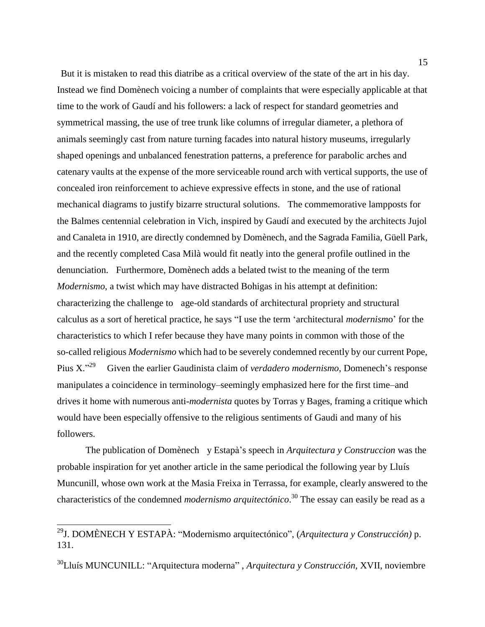But it is mistaken to read this diatribe as a critical overview of the state of the art in his day. Instead we find Domènech voicing a number of complaints that were especially applicable at that time to the work of Gaudí and his followers: a lack of respect for standard geometries and symmetrical massing, the use of tree trunk like columns of irregular diameter, a plethora of animals seemingly cast from nature turning facades into natural history museums, irregularly shaped openings and unbalanced fenestration patterns, a preference for parabolic arches and catenary vaults at the expense of the more serviceable round arch with vertical supports, the use of concealed iron reinforcement to achieve expressive effects in stone, and the use of rational mechanical diagrams to justify bizarre structural solutions. The commemorative lampposts for the Balmes centennial celebration in Vich, inspired by Gaudí and executed by the architects Jujol and Canaleta in 1910, are directly condemned by Domènech, and the Sagrada Familia, Güell Park, and the recently completed Casa Milà would fit neatly into the general profile outlined in the denunciation. Furthermore, Domènech adds a belated twist to the meaning of the term *Modernismo*, a twist which may have distracted Bohigas in his attempt at definition: characterizing the challenge to age-old standards of architectural propriety and structural calculus as a sort of heretical practice, he says "I use the term 'architectural *modernism*o' for the characteristics to which I refer because they have many points in common with those of the so-called religious *Modernismo* which had to be severely condemned recently by our current Pope, Pius X." $^{29}$  Given the earlier Gaudinista claim of *verdadero modernismo*, Domenech's response manipulates a coincidence in terminology–seemingly emphasized here for the first time–and drives it home with numerous anti-*modernista* quotes by Torras y Bages, framing a critique which would have been especially offensive to the religious sentiments of Gaudi and many of his followers.

The publication of Domènech y Estapà's speech in *Arquitectura y Construccion* was the probable inspiration for yet another article in the same periodical the following year by Lluís Muncunill, whose own work at the Masia Freixa in Terrassa, for example, clearly answered to the characteristics of the condemned *modernismo arquitectónico*. <sup>30</sup> The essay can easily be read as a

<sup>29</sup>J. DOMÈNECH Y ESTAPÀ: "Modernismo arquitectónico", (*Arquitectura y Construcción)* p. 131.

<sup>30</sup>Lluís MUNCUNILL: "Arquitectura moderna" , *Arquitectura y Construcción,* XVII, noviembre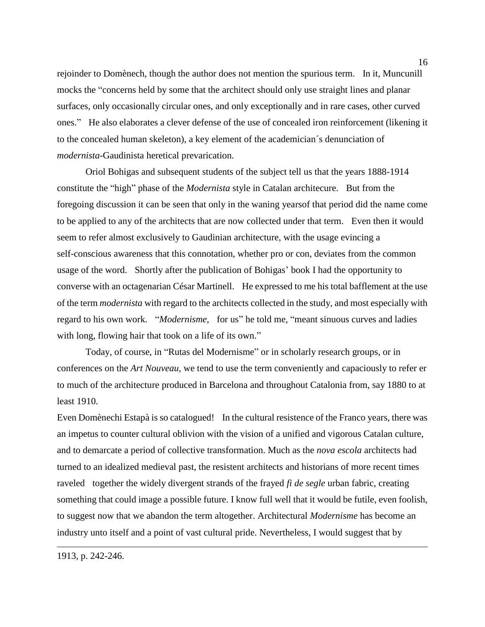rejoinder to Domènech, though the author does not mention the spurious term. In it, Muncunill mocks the "concerns held by some that the architect should only use straight lines and planar surfaces, only occasionally circular ones, and only exceptionally and in rare cases, other curved ones." He also elaborates a clever defense of the use of concealed iron reinforcement (likening it to the concealed human skeleton), a key element of the academician´s denunciation of *modernista-*Gaudinista heretical prevarication.

Oriol Bohigas and subsequent students of the subject tell us that the years 1888-1914 constitute the "high" phase of the *Modernista* style in Catalan architecure. But from the foregoing discussion it can be seen that only in the waning yearsof that period did the name come to be applied to any of the architects that are now collected under that term. Even then it would seem to refer almost exclusively to Gaudinian architecture, with the usage evincing a self-conscious awareness that this connotation, whether pro or con, deviates from the common usage of the word. Shortly after the publication of Bohigas' book I had the opportunity to converse with an octagenarian César Martinell. He expressed to me his total bafflement at the use of the term *modernista* with regard to the architects collected in the study, and most especially with regard to his own work. "*Modernisme,* for us" he told me, "meant sinuous curves and ladies with long, flowing hair that took on a life of its own."

Today, of course, in "Rutas del Modernisme" or in scholarly research groups, or in conferences on the *Art Nouveau,* we tend to use the term conveniently and capaciously to refer er to much of the architecture produced in Barcelona and throughout Catalonia from, say 1880 to at least 1910.

Even Domènechi Estapà is so catalogued! In the cultural resistence of the Franco years, there was an impetus to counter cultural oblivion with the vision of a unified and vigorous Catalan culture, and to demarcate a period of collective transformation. Much as the *nova escola* architects had turned to an idealized medieval past, the resistent architects and historians of more recent times raveled together the widely divergent strands of the frayed *fi de segle* urban fabric, creating something that could image a possible future. I know full well that it would be futile, even foolish, to suggest now that we abandon the term altogether. Architectural *Modernisme* has become an industry unto itself and a point of vast cultural pride. Nevertheless, I would suggest that by

1913*,* p. 242-246.